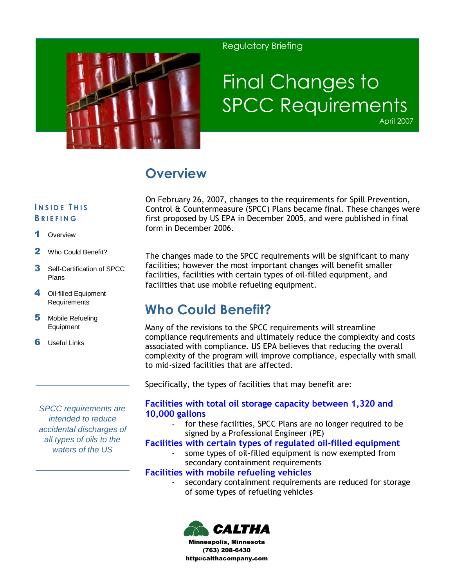

#### Regulatory Briefing

# Final Changes to SPCC Requirements April 2007

### **Overview**

#### **I N S I D E T H I S B R I E F I N G**

- 1 Overview
- 2 Who Could Benefit?
- **3** Self-Certification of SPCC Plans
- 4 Oil-filled Equipment **Requirements**
- **5** Mobile Refueling **Equipment**
- **6** Useful Links

*SPCC requirements are intended to reduce accidental discharges of all types of oils to the waters of the US*

On February 26, 2007, changes to the requirements for Spill Prevention, Control & Countermeasure (SPCC) Plans became final. These changes were first proposed by US EPA in December 2005, and were published in final form in December 2006.

The changes made to the SPCC requirements will be significant to many facilities; however the most important changes will benefit smaller facilities, facilities with certain types of oil-filled equipment, and facilities that use mobile refueling equipment.

### **Who Could Benefit?**

Many of the revisions to the SPCC requirements will streamline compliance requirements and ultimately reduce the complexity and costs associated with compliance. US EPA believes that reducing the overall complexity of the program will improve compliance, especially with small to mid-sized facilities that are affected.

Specifically, the types of facilities that may benefit are:

#### **Facilities with total oil storage capacity between 1,320 and 10,000 gallons**

for these facilities, SPCC Plans are no longer required to be signed by a Professional Engineer (PE)

#### **Facilities with certain types of regulated oil-filled equipment**

some types of oil-filled equipment is now exempted from secondary containment requirements

#### **Facilities with mobile refueling vehicles**

secondary containment requirements are reduced for storage of some types of refueling vehicles



Minneapolis, Minnesota (763) 208-6430 http:/calthacompany.com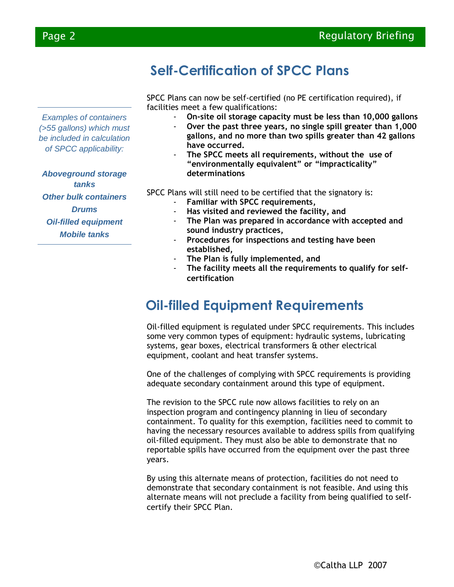# **Self-Certification of SPCC Plans**

SPCC Plans can now be self-certified (no PE certification required), if facilities meet a few qualifications:

- **On-site oil storage capacity must be less than 10,000 gallons**
- **Over the past three years, no single spill greater than 1,000 gallons, and no more than two spills greater than 42 gallons have occurred.**
- **The SPCC meets all requirements, without the use of** "environmentally equivalent" or "impracticality" **determinations**

SPCC Plans will still need to be certified that the signatory is:

- **Familiar with SPCC requirements,**
- **Has visited and reviewed the facility, and**
- **The Plan was prepared in accordance with accepted and sound industry practices,**
- **Procedures for inspections and testing have been established,**
- **The Plan is fully implemented, and**
- **The facility meets all the requirements to qualify for selfcertification**

# **Oil-filled Equipment Requirements**

Oil-filled equipment is regulated under SPCC requirements. This includes some very common types of equipment: hydraulic systems, lubricating systems, gear boxes, electrical transformers & other electrical equipment, coolant and heat transfer systems.

One of the challenges of complying with SPCC requirements is providing adequate secondary containment around this type of equipment.

The revision to the SPCC rule now allows facilities to rely on an inspection program and contingency planning in lieu of secondary containment. To quality for this exemption, facilities need to commit to having the necessary resources available to address spills from qualifying oil-filled equipment. They must also be able to demonstrate that no reportable spills have occurred from the equipment over the past three years.

By using this alternate means of protection, facilities do not need to demonstrate that secondary containment is not feasible. And using this alternate means will not preclude a facility from being qualified to selfcertify their SPCC Plan.

*of SPCC applicability: Aboveground storage tanks Other bulk containers Drums*

*Examples of containers (>55 gallons) which must be included in calculation*

*Oil-filled equipment Mobile tanks*